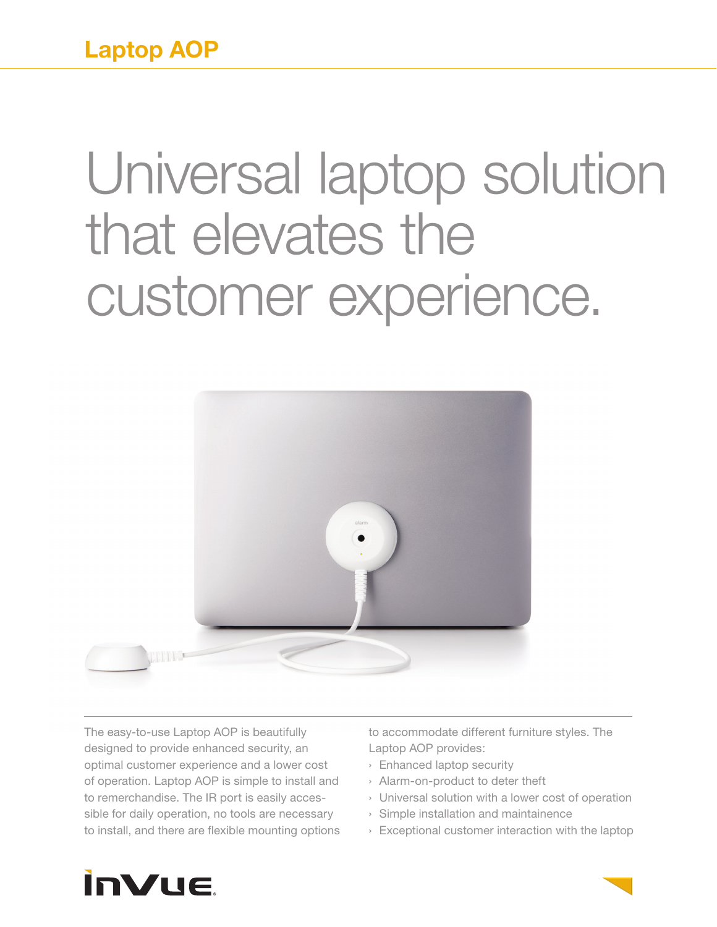**Laptop AOP**

## Universal laptop solution that elevates the customer experience.



The easy-to-use Laptop AOP is beautifully designed to provide enhanced security, an optimal customer experience and a lower cost of operation. Laptop AOP is simple to install and to remerchandise. The IR port is easily accessible for daily operation, no tools are necessary to install, and there are flexible mounting options to accommodate different furniture styles. The Laptop AOP provides:

- › Enhanced laptop security
- › Alarm-on-product to deter theft
- › Universal solution with a lower cost of operation
- › Simple installation and maintainence
- › Exceptional customer interaction with the laptop



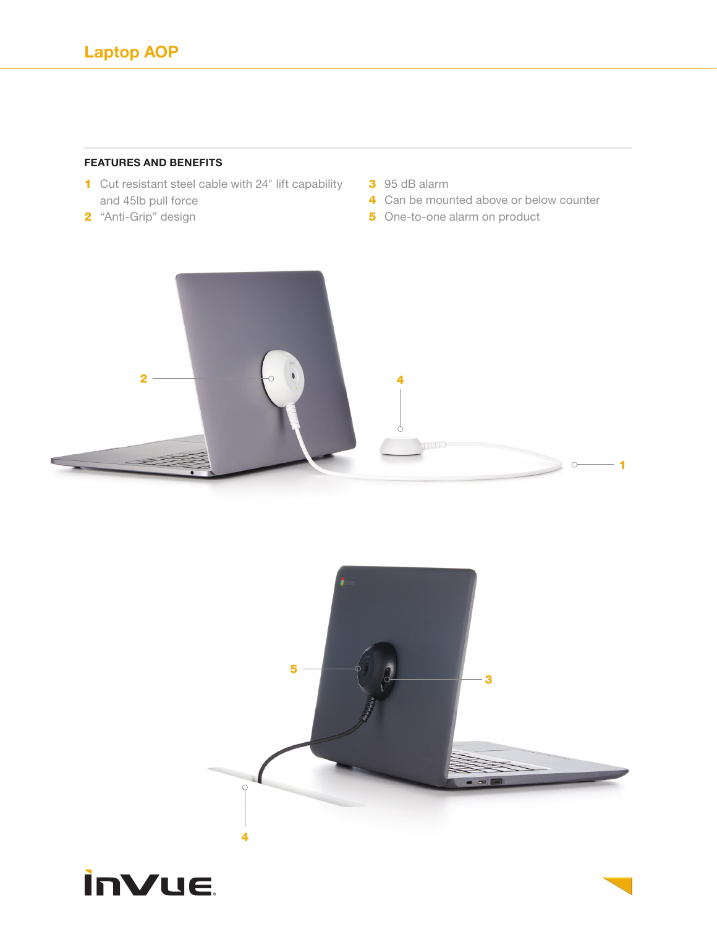## **FEATURES AND BENEFITS**

- 1 Cut resistant steel cable with 24" lift capability and 45lb pull force
- 2 "Anti-Grip" design
- 3 95 dB alarm
- 4 Can be mounted above or below counter
- 5 One-to-one alarm on product





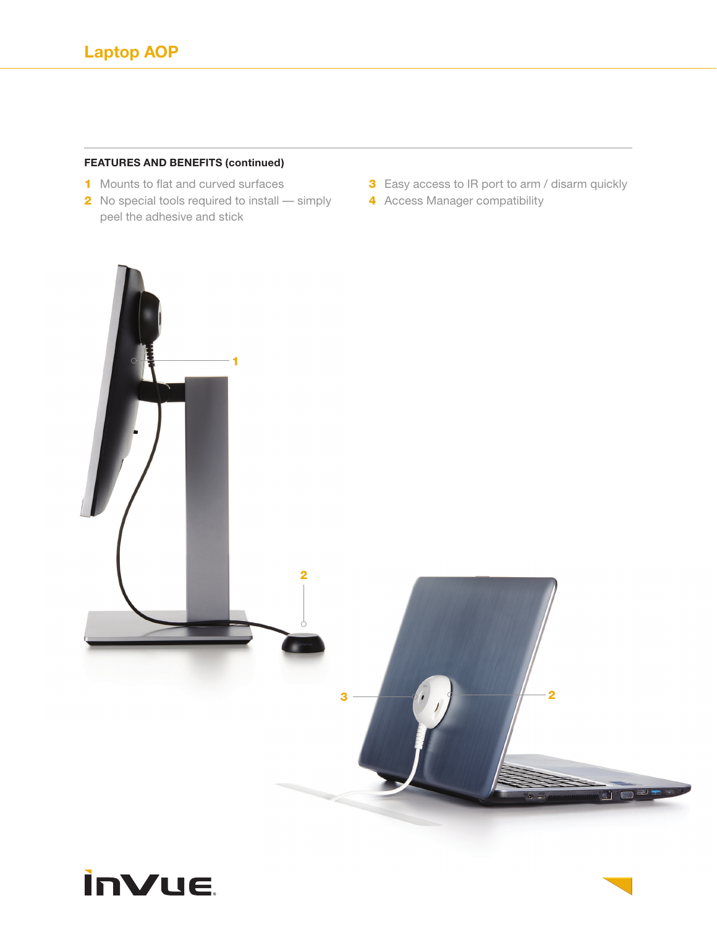## **FEATURES AND BENEFITS (continued)**

- 1 Mounts to flat and curved surfaces
- 2 No special tools required to install simply **4** Access Manager compatibility peel the adhesive and stick
- **3** Easy access to IR port to arm / disarm quickly
	-



## **inVue**